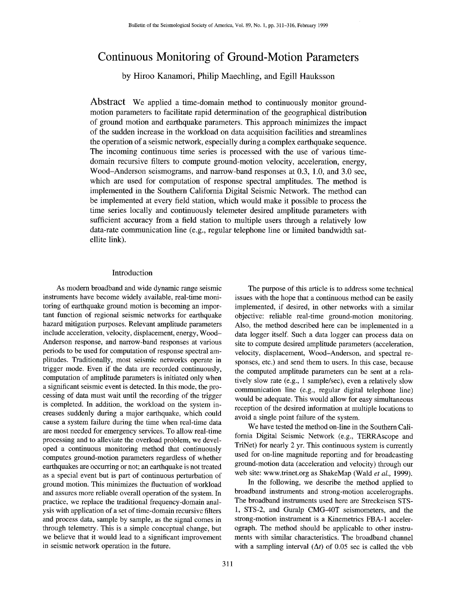# **Continuous Monitoring of Ground-Motion Parameters**

by Hiroo Kanamori, Philip Maechling, and Egill Hauksson

Abstract We applied a time-domain method to continuously monitor groundmotion parameters to facilitate rapid determination of the geographical distribution of ground motion and earthquake parameters. This approach minimizes the impact of the sudden increase in the workload on data acquisition facilities and streamlines the operation of a seismic network, especially during a complex earthquake sequence. The incoming continuous time series is processed with the use of various timedomain recursive filters to compute ground-motion velocity, acceleration, energy, Wood-Anderson seismograms, and narrow-band responses at 0.3, 1.0, and 3.0 sec, which are used for computation of response spectral amplitudes. The method is implemented in the Southern California Digital Seismic Network. The method can be implemented at every field station, which would make it possible to process the time series locally and continuously telemeter desired amplitude parameters with sufficient accuracy from a field station to multiple users through a relatively low data-rate communication line (e.g., regular telephone line or limited bandwidth satellite link).

## Introduction

As modem broadband and wide dynamic range seismic instruments have become widely available, real-time monitoring of earthquake ground motion is becoming an important function of regional seismic networks for earthquake hazard mitigation purposes. Relevant amplitude parameters include acceleration, velocity, displacement, energy, Wood-Anderson response, and narrow-band responses at various periods to be used for computation of response spectral amplitudes. Traditionally, most seismic networks operate in trigger mode. Even if the data are recorded continuously, computation of amplitude parameters is initiated only when a significant seismic event is detected. In this mode, the processing of data must wait until the recording of the trigger is completed. In addition, the workload on the system increases suddenly during a major earthquake, which could cause a system failure during the time when real-time data are most needed for emergency services. To allow real-time processing and to alleviate the overload problem, we developed a continuous monitoring method that continuously computes ground-motion parameters regardless of whether earthquakes are occurring or not; an earthquake is not treated as a special event but is part of continuous perturbation of ground motion. This minimizes the fluctuation of workload and assures more reliable overall operation of the system. In practice, we replace the traditional frequency-domain analysis with application of a set of time-domain recursive filters and process data, sample by sample, as the signal comes in through telemetry. This is a simple conceptual change, but we believe that it would lead to a significant improvement in seismic network operation in the future.

The purpose of this article is to address some technical issues with the hope that a continuous method can be easily implemented, if desired, in other networks with a similar objective: reliable real-time ground-motion monitoring. Also, the method described here can be implemented in a data logger itself. Such a data logger can process data on site to compute desired amplitude parameters (acceleration, velocity, displacement, Wood-Anderson, and spectral responses, etc.) and send them to users. In this case, because the computed amplitude parameters can be sent at a relatively slow rate (e.g., 1 sample/sec), even a relatively slow communication line (e.g., regular digital telephone line) would be adequate. This would allow for easy simultaneous reception of the desired information at multiple locations to avoid a single point failure of the system.

We have tested the method on-line in the Southern California Digital Seismic Network (e.g., TERRAscope and TriNet) for nearly 2 yr. This continuous system is currently used for on-line magnitude reporting and for broadcasting ground-motion data (acceleration and velocity) through our web site: www.trinet.org as ShakeMap (Wald *et al.,* 1999).

In the following, we describe the method applied to broadband instruments and strong-motion accelerographs. The broadband instruments used here are Streckeisen STS-1, STS-2, and Guralp CMG-40T seismometers, and the strong-motion instrument is a Kinemetrics FBA-1 accelerograph. The method should be applicable to other instruments with similar characteristics. The broadband channel with a sampling interval  $(\Delta t)$  of 0.05 sec is called the vbb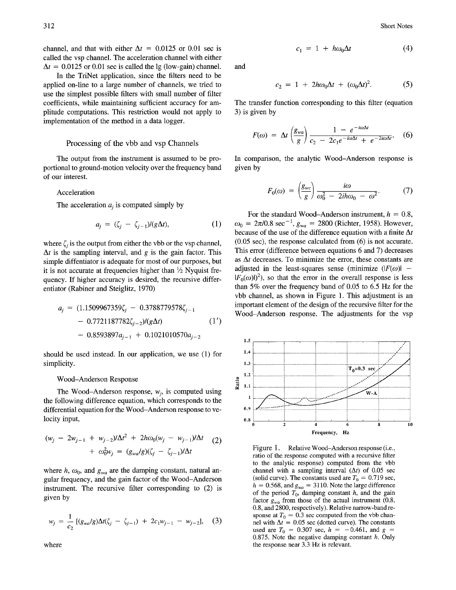channel, and that with either  $\Delta t = 0.0125$  or 0.01 sec is called the vsp channel. The acceleration channel with either  $\Delta t = 0.0125$  or 0.01 sec is called the lg (low-gain) channel.

In the TriNet application, since the filters need to be applied on-line to a large number of channels, we tried to use the simplest possible filters with small number of filter coefficients, while maintaining sufficient accuracy for amplitude computations. This restriction would not apply to implementation of the method in a data logger.

### Processing of the vbb and vsp Channels

The output from the instrument is assumed to be proportional to ground-motion velocity over the frequency band of our interest.

Acceleration

The acceleration  $a_i$  is computed simply by

$$
a_i = (\zeta_i - \zeta_{i-1})/(g\Delta t), \qquad (1)
$$

where  $\zeta_i$  is the output from either the vbb or the vsp channel,  $\Delta t$  is the sampling interval, and g is the gain factor. This simple diffentiator is adequate for most of our purposes, but it is not accurate at frequencies higher than  $\frac{1}{2}$  Nyquist frequency. If higher accuracy is desired, the recursive differentiator (Rabiner and Steiglitz, 1970)

$$
a_j = (1.1509967359\zeta_j - 0.3788779578\zeta_{j-1} - 0.7721187782\zeta_{j-2})/(g\Delta t)
$$
 (1')  
- 0.8593897a<sub>i-1</sub> + 0.1021010570a<sub>i-2</sub>

should be used instead. In our application, we use (1) for simplicity.

#### Wood-Anderson Response

The Wood-Anderson response,  $w_i$ , is computed using the following difference equation, which corresponds to the differential equation for the Wood-Anderson response to velocity input,

$$
(w_j - 2w_{j-1} + w_{j-2})/\Delta t^2 + 2h\omega_0 (w_j - w_{j-1})/\Delta t \t (2)
$$
  
+  $\omega_0^2 w_j = (g_{wa}/g)(\zeta_j - \zeta_{j-1})/\Delta t$ 

where h,  $\omega_0$ , and  $g_{wa}$  are the damping constant, natural angular frequency, and the gain factor of the Wood-Anderson instrument. The recursive filter corresponding to (2) is given by

$$
w_j = \frac{1}{c_2} \left[ (g_{wa}/g) \Delta t (\zeta_j - \zeta_{j-1}) + 2c_1 w_{j-1} - w_{j-2} \right], \quad (3)
$$

312 Short Notes

$$
c_1 = 1 + h\omega_0 \Delta t \tag{4}
$$

and

$$
c_2 = 1 + 2h\omega_0 \Delta t + (\omega_0 \Delta t)^2. \tag{5}
$$

The transfer function corresponding to this filter (equation 3) is given by

$$
F(\omega) = \Delta t \left(\frac{g_{wa}}{g}\right) \frac{1 - e^{-i\omega \Delta t}}{c_2 - 2c_1 e^{-i\omega \Delta t} + e^{-2i\omega \Delta t}}.
$$
 (6)

In comparison, the analytic Wood-Anderson response is given by

$$
F_0(\omega) = \left(\frac{g_{wc}}{g}\right) \frac{i\omega}{\omega_0^2 - 2ih\omega_0 - \omega^2}.
$$
 (7)

For the standard Wood-Anderson instrument,  $h = 0.8$ ,  $\omega_0 = 2\pi/0.8 \text{ sec}^{-1}$ ,  $g_{wa} = 2800$  (Richter, 1958). However, because of the use of the difference equation with a finite  $\Delta t$ (0.05 sec), the response calculated from (6) is not accurate. This error (difference between equations 6 and 7) decreases as  $\Delta t$  decreases. To minimize the error, these constants are adjusted in the least-squares sense (minimize  $(|F(\omega))$  - $|F_0(\omega)|^2$ , so that the error in the overall response is less than 5% over the frequency band of 0.05 to 6.5 Hz for the vbb channel, as shown in Figure 1. This adjustment is an important element of the design of the recursive filter for the Wood-Anderson response. The adjustments for the vsp



Figure 1. Relative Wood-Anderson response (i.e., ratio of the response computed with a recursive filter to the analytic response) computed from the vbb channel with a sampling interval  $(\Delta t)$  of 0.05 sec (solid curve). The constants used are  $T_0 = 0.719$  sec,  $h = 0.568$ , and  $g_{wa} = 3110$ . Note the large difference of the period  $T_0$ , damping constant h, and the gain factor  $g_{wa}$  from those of the actual instrument (0.8, 0.8, and 2800, respectively). Relative narrow-band response at  $T_0 = 0.3$  sec computed from the vbb channel with  $\Delta t = 0.05$  sec (dotted curve). The constants used are  $T_0 = 0.307$  sec,  $h = -0.461$ , and  $g =$ 0.875. Note the negative damping constant  $h$ . Only the response near 3.3 Hz is relevant.

where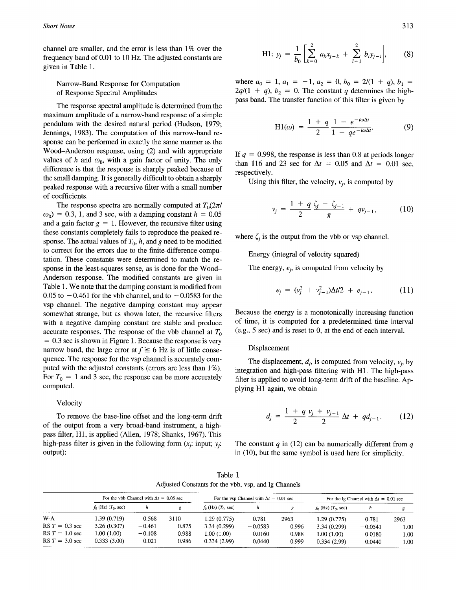channel are smaller, and the error is less than 1% over the frequency band of 0.01 to 10 Hz. The adjusted constants are given in Table 1.

Narrow-Band Response for Computation of Response Spectral Amplitudes

The response spectral amplitude is determined from the maximum amplitude of a narrow-band response of a simple pendulum with the desired natural period (Hudson, 1979; Jennings, 1983). The computation of this narrow-band response can be performed in exactly the same manner as the Wood-Anderson response, using (2) and with appropriate values of h and  $\omega_0$ , with a gain factor of unity. The only difference is that the response is sharply peaked because of the small damping. It is generally difficult to obtain a sharply peaked response with a recursive filter with a small number of coefficients.

The response spectra are normally computed at  $T_0(2\pi/$  $\omega_0$ ) = 0.3, 1, and 3 sec, with a damping constant  $h = 0.05$ and a gain factor  $g = 1$ . However, the recursive filter using these constants completely fails to reproduce the peaked response. The actual values of  $T_0$ , h, and g need to be modified to correct for the errors due to the finite-difference computation. These constants were determined to match the response in the least-squares sense, as is done for the Wood-Anderson response. The modified constants are given in Table 1. We note that the damping constant is modified from 0.05 to  $-0.461$  for the vbb channel, and to  $-0.0583$  for the vsp channel. The negative damping constant may appear somewhat strange, but as shown later, the recursive filters with a negative damping constant are stable and produce accurate responses. The response of the vbb channel at  $T_0$  $= 0.3$  sec is shown in Figure 1. Because the response is very narrow band, the large error at  $f \ge 6$  Hz is of little consequence. The response for the vsp channel is accurately computed with the adjusted constants (errors are less than 1%). For  $T_0 = 1$  and 3 sec, the response can be more accurately computed.

#### Velocity

To remove the base-line offset and the long-term drift of the output from a very broad-band instrument, a highpass filter, H1, is applied (Allen, 1978; Shanks, 1967). This high-pass filter is given in the following form  $(x_i: input; y_i)$ : output):

where  $a_0 = 1$ ,  $a_1 = -1$ ,  $a_2 = 0$ ,  $b_0 = 2/(1 + q)$ ,  $b_1 =$  $2q/(1 + q)$ ,  $b_2 = 0$ . The constant q determines the highpass band. The transfer function of this filter is given by

$$
H1(\omega) = \frac{1+q}{2} \frac{1-e^{-i\omega\Delta t}}{1-qe^{-i\omega\Delta t}}.
$$
 (9)

If  $q = 0.998$ , the response is less than 0.8 at periods longer than 116 and 23 sec for  $\Delta t = 0.05$  and  $\Delta t = 0.01$  sec, respectively.

Using this filter, the velocity,  $v_i$ , is computed by

$$
v_j = \frac{1 + q \zeta_j - \zeta_{j-1}}{2} + qv_{j-1}, \qquad (10)
$$

where  $\zeta_i$  is the output from the vbb or vsp channel.

Energy (integral of velocity squared)

The energy,  $e_i$ , is computed from velocity by

$$
e_j = (v_j^2 + v_{j-1}^2) \Delta t / 2 + e_{j-1}.
$$
 (11)

Because the energy is a monotonically increasing function of time, it is computed for a predetermined time interval (e.g., 5 sec) and is reset to 0, at the end of each interval.

#### Displacement

The displacement,  $d_j$ , is computed from velocity,  $v_j$ , by integration and high-pass filtering with H1. The high-pass filter is applied to avoid long-term drift of the baseline. Applying H1 again, we obtain

$$
d_j = \frac{1+q}{2} \frac{v_j + v_{j-1}}{2} \Delta t + q d_{j-1}.
$$
 (12)

The constant  $q$  in (12) can be numerically different from  $q$ in (10), but the same symbol is used here for simplicity.

Table 1 Adjusted Constants for the vbb, vsp, and lg Channels

|                  | For the vbb Channel with $\Delta t = 0.05$ sec |          |       | For the vsp Channel with $\Delta t = 0.01$ sec |           |       | For the 1g Channel with $\Delta t = 0.01$ sec |           |      |
|------------------|------------------------------------------------|----------|-------|------------------------------------------------|-----------|-------|-----------------------------------------------|-----------|------|
|                  | $f_0$ (Hz) $(T_0, \text{sec})$                 |          | g     | $f_0$ (Hz) $(T_0, \text{sec})$                 |           | g     | $f_0$ (Hz) $(T_0, \text{sec})$                | h         |      |
| $W-A$            | 1.39 (0.719)                                   | 0.568    | 3110  | 1.29 (0.775)                                   | 0.781     | 2963  | 1.29(0.775)                                   | 0.781     | 2963 |
| RS $T = 0.3$ sec | 3.26(0.307)                                    | $-0.461$ | 0.875 | 3.34(0.299)                                    | $-0.0583$ | 0.996 | 3.34(0.299)                                   | $-0.0541$ | 1.00 |
| RS $T = 1.0$ sec | 1.00(1.00)                                     | $-0.108$ | 0.988 | 1.00 (1.00)                                    | 0.0160    | 0.988 | 1.00 (1.00)                                   | 0.0180    | 1.00 |
| RS $T = 3.0$ sec | 0.333(3.00)                                    | $-0.021$ | 0.986 | 0.334(2.99)                                    | 0.0440    | 0.999 | 0.334(2.99)                                   | 0.0440    | 1.00 |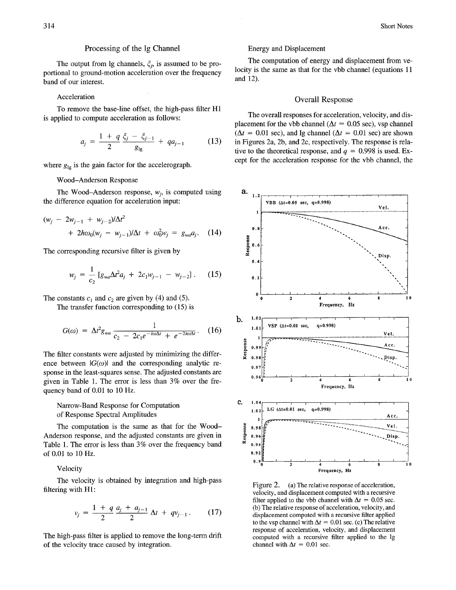# Processing of the lg Channel

The output from 1g channels,  $\xi_i$ , is assumed to be proportional to ground-motion acceleration over the frequency band of our interest.

Acceleration

To remove the base-line offset, the high-pass filter H1 is applied to compute acceleration as follows:

$$
a_j = \frac{1 + q \xi_j - \xi_{j-1}}{2} + q a_{j-1}
$$
 (13)

where  $g_{1g}$  is the gain factor for the accelerograph.

Wood-Anderson Response

The Wood-Anderson response,  $w_i$ , is computed using the difference equation for acceleration input:

$$
(w_j - 2w_{j-1} + w_{j-2})/\Delta t^2
$$
  
+  $2h\omega_0(w_j - w_{j-1})/\Delta t + \omega_0^2 w_j = g_{wa}a_j$ . (14)

The corresponding recursive filter is given by

$$
w_j = \frac{1}{c_2} \left[ g_{wa} \Delta t^2 a_j + 2c_1 w_{j-1} - w_{j-2} \right]. \tag{15}
$$

The constants  $c_1$  and  $c_2$  are given by (4) and (5).

The transfer function corresponding to (15) is

$$
G(\omega) = \Delta t^2 g_{w\alpha} \frac{1}{c_2 - 2c_1 e^{-i\omega\Delta t} + e^{-2i\omega\Delta t}}.
$$
 (16)

The filter constants were adjusted by minimizing the difference between  $|G(\omega)|$  and the corresponding analytic response in the least-squares sense. The adjusted constants are given in Table 1. The error is less than 3% over the frequency band of 0.01 to 10 Hz.

# Narrow-Band Response for Computation of Response Spectral Amplitudes

The computation is the same as that for the Wood-Anderson response, and the adjusted constants are given in Table 1. The error is less than 3% over the frequency band of 0.01 to 10 Hz.

#### Velocity

The velocity is obtained by integration and high-pass filtering with HI:

$$
v_j = \frac{1 + q}{2} \frac{a_j + a_{j-1}}{2} \Delta t + q v_{j-1}.
$$
 (17)

The high-pass tilter is applied to remove the long-term drift of the velocity trace caused by integration.

## Energy and Displacement

The computation of energy and displacement from velocity is the same as that for the vbb channel (equations 11 and 12).

## **Overall Response**

The overall responses for acceleration, velocity, and displacement for the vbb channel ( $\Delta t = 0.05$  sec), vsp channel  $(\Delta t = 0.01 \text{ sec})$ , and lg channel  $(\Delta t = 0.01 \text{ sec})$  are shown in Figures 2a, 2b, and 2c, respectively. The response is relative to the theoretical response, and  $q = 0.998$  is used. Except for the acceleration response for the vbb channel, the



Figure 2. (a) The relative response of acceleration, velocity, and displacement computed with a recursive filter applied to the vbb channel with  $\Delta t = 0.05$  sec. (b) The relative response of acceleration, velocity, and displacement computed with a recursive filter applied to the vsp channel with  $\Delta t = 0.01$  sec. (c) The relative response of acceleration, velocity, and displacement computed with a recursive filter applied to the lg channel with  $\Delta t = 0.01$  sec.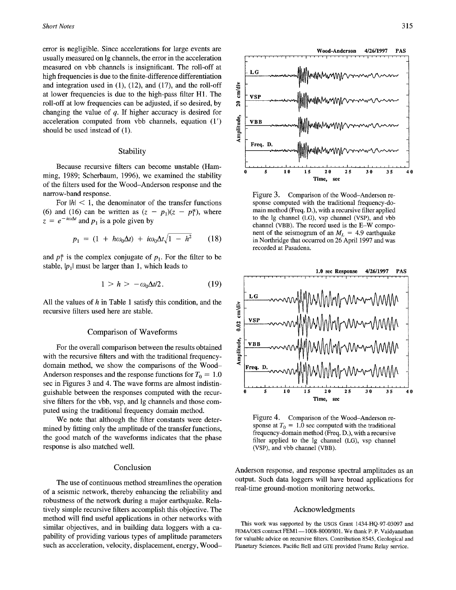error is negligible. Since accelerations for large events are usually measured on lg channels, the error in the acceleration measured on vbb channels is insignificant. The roll-off at high frequencies is due to the finite-difference differentiation and integration used in  $(1)$ ,  $(12)$ , and  $(17)$ , and the roll-off at lower frequencies is due to the high-pass filter HI. The roll-off at low frequencies can be adjusted, if so desired, by changing the value of q. If higher accuracy is desired for acceleration computed from vbb channels, equation (1') should be used instead of (1).

# **Stability**

Because recursive filters can become unstable (Hamming, 1989; Scherbaum, 1996), we examined the stability of the filters used for the Wood-Anderson response and the narrow-band response.

For  $|h| < 1$ , the denominator of the transfer functions (6) and (16) can be written as  $(z - p_1)(z - p_1^*)$ , where  $z = e^{-i\omega \Delta t}$  and  $p_1$  is a pole given by

$$
p_1 = (1 + h\omega_0\Delta t) + i\omega_0\Delta t\sqrt{1 - h^2} \qquad (18)
$$

and  $p_1^*$  is the complex conjugate of  $p_1$ . For the filter to be stable,  $|p_1|$  must be larger than 1, which leads to

$$
1 > h > -\omega_0 \Delta t/2. \tag{19}
$$

All the values of  $h$  in Table 1 satisfy this condition, and the recursive filters used here are stable.

#### Comparison of Waveforms

For the overall comparison between the results obtained with the recursive filters and with the traditional frequencydomain method, we show the comparisons of the Wood-Anderson responses and the response functions for  $T_0 = 1.0$ sec in Figures 3 and 4. The wave forms are almost indistinguishable between the responses computed with the recursive filters for the vbb, vsp, and lg channels and those computed using the traditional frequency domain method.

We note that although the filter constants were determined by fitting only the amplitude of the transfer functions, the good match of the waveforms indicates that the phase response is also matched well.

## Conclusion

The use of continuous method streamlines the operation of a seismic network, thereby enhancing the reliability and robustness of the network during a major earthquake. Relatively simple recursive filters accomplish this objective. The method will find useful applications in other networks with similar objectives, and in building data loggers with a capability of providing various types of amplitude parameters such as acceleration, velocity, displacement, energy, Wood-



Figure 3. Comparison of the Wood-Anderson response computed with the traditional frequency-domain method (Freq. D.), with a recursive filter applied to the lg channel (LG), vsp channel (VSP), and vbb channel (VBB). The record used is the E-W component of the seismogram of an  $M_L$  = 4.9 earthquake in Northridge that occurred on 26 April 1997 and was recorded at Pasadena.



Figure 4. Comparison of the Wood-Anderson response at  $T_0 = 1.0$  sec computed with the traditional frequency-domain method (Freq. D.), with a recursive filter applied to the lg channel (LG), vsp channel (VSP), and vbb channel (VBB).

Anderson response, and response spectral amplitudes as an output. Such data loggers will have broad applications for real-time ground-motion monitoring networks.

#### Acknowledgments

This work was supported by the USGS Grant 1434-HQ-97-03097 and FEMA/OES contract FEM1-1008-8000/801. We thank P. P. Vaidyanathan for valuable advice on recursive filters. Contribution 8545, Geological and Planetary Sciences. Pacific Bell and GTE provided Frame Relay service.